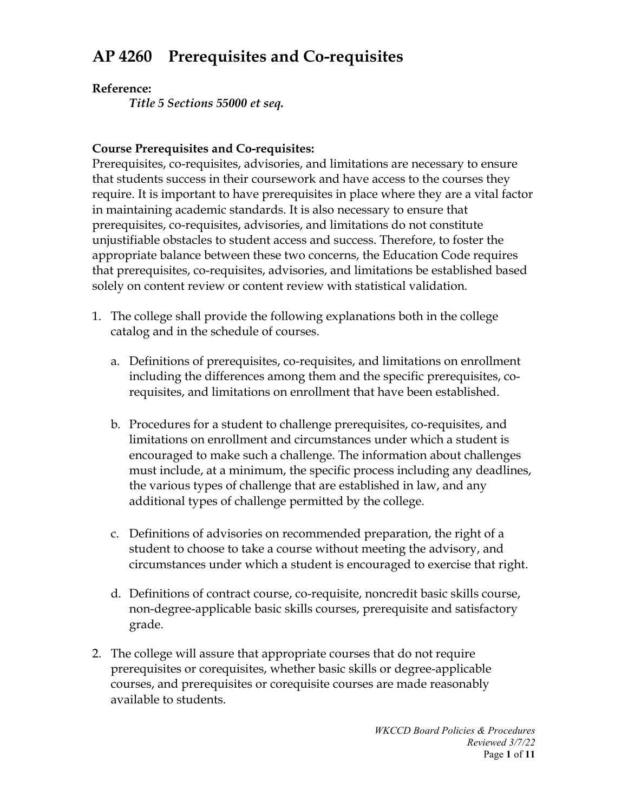# **AP 4260 Prerequisites and Co-requisites**

## **Reference:**

*Title 5 Sections 55000 et seq.*

## **Course Prerequisites and Co-requisites:**

Prerequisites, co-requisites, advisories, and limitations are necessary to ensure that students success in their coursework and have access to the courses they require. It is important to have prerequisites in place where they are a vital factor in maintaining academic standards. It is also necessary to ensure that prerequisites, co-requisites, advisories, and limitations do not constitute unjustifiable obstacles to student access and success. Therefore, to foster the appropriate balance between these two concerns, the Education Code requires that prerequisites, co-requisites, advisories, and limitations be established based solely on content review or content review with statistical validation.

- 1. The college shall provide the following explanations both in the college catalog and in the schedule of courses.
	- a. Definitions of prerequisites, co-requisites, and limitations on enrollment including the differences among them and the specific prerequisites, corequisites, and limitations on enrollment that have been established.
	- b. Procedures for a student to challenge prerequisites, co-requisites, and limitations on enrollment and circumstances under which a student is encouraged to make such a challenge. The information about challenges must include, at a minimum, the specific process including any deadlines, the various types of challenge that are established in law, and any additional types of challenge permitted by the college.
	- c. Definitions of advisories on recommended preparation, the right of a student to choose to take a course without meeting the advisory, and circumstances under which a student is encouraged to exercise that right.
	- d. Definitions of contract course, co-requisite, noncredit basic skills course, non-degree-applicable basic skills courses, prerequisite and satisfactory grade.
- 2. The college will assure that appropriate courses that do not require prerequisites or corequisites, whether basic skills or degree-applicable courses, and prerequisites or corequisite courses are made reasonably available to students.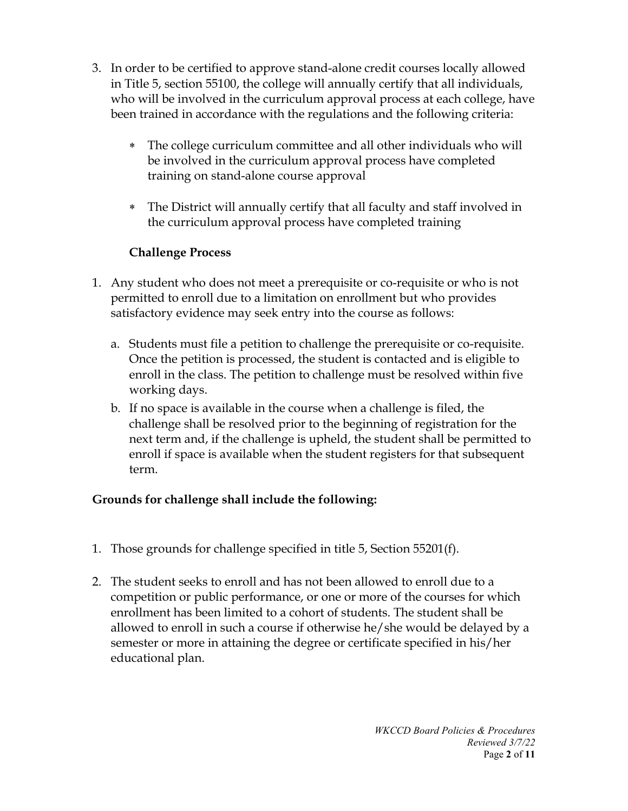- 3. In order to be certified to approve stand-alone credit courses locally allowed in Title 5, section 55100, the college will annually certify that all individuals, who will be involved in the curriculum approval process at each college, have been trained in accordance with the regulations and the following criteria:
	- ∗ The college curriculum committee and all other individuals who will be involved in the curriculum approval process have completed training on stand-alone course approval
	- ∗ The District will annually certify that all faculty and staff involved in the curriculum approval process have completed training

# **Challenge Process**

- 1. Any student who does not meet a prerequisite or co-requisite or who is not permitted to enroll due to a limitation on enrollment but who provides satisfactory evidence may seek entry into the course as follows:
	- a. Students must file a petition to challenge the prerequisite or co-requisite. Once the petition is processed, the student is contacted and is eligible to enroll in the class. The petition to challenge must be resolved within five working days.
	- b. If no space is available in the course when a challenge is filed, the challenge shall be resolved prior to the beginning of registration for the next term and, if the challenge is upheld, the student shall be permitted to enroll if space is available when the student registers for that subsequent term.

# **Grounds for challenge shall include the following:**

- 1. Those grounds for challenge specified in title 5, Section 55201(f).
- 2. The student seeks to enroll and has not been allowed to enroll due to a competition or public performance, or one or more of the courses for which enrollment has been limited to a cohort of students. The student shall be allowed to enroll in such a course if otherwise he/she would be delayed by a semester or more in attaining the degree or certificate specified in his/her educational plan.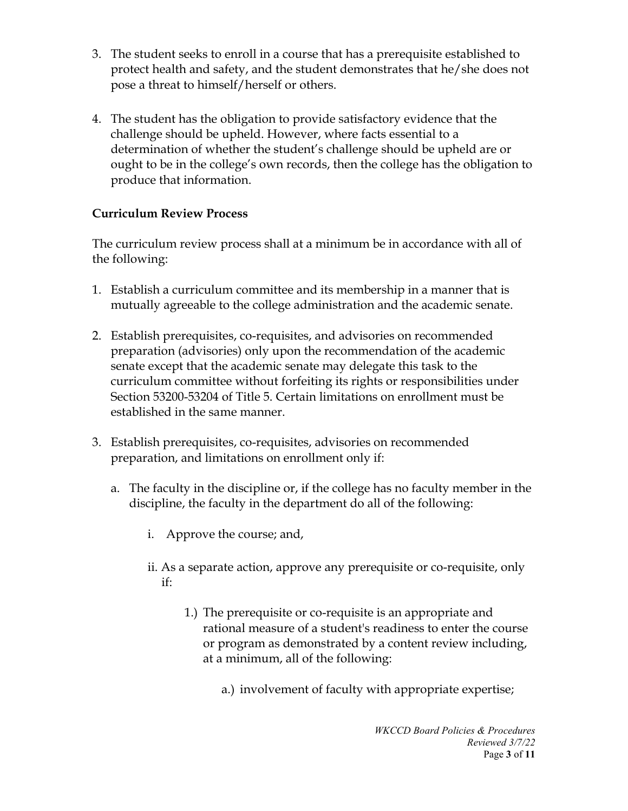- 3. The student seeks to enroll in a course that has a prerequisite established to protect health and safety, and the student demonstrates that he/she does not pose a threat to himself/herself or others.
- 4. The student has the obligation to provide satisfactory evidence that the challenge should be upheld. However, where facts essential to a determination of whether the student's challenge should be upheld are or ought to be in the college's own records, then the college has the obligation to produce that information.

# **Curriculum Review Process**

The curriculum review process shall at a minimum be in accordance with all of the following:

- 1. Establish a curriculum committee and its membership in a manner that is mutually agreeable to the college administration and the academic senate.
- 2. Establish prerequisites, co-requisites, and advisories on recommended preparation (advisories) only upon the recommendation of the academic senate except that the academic senate may delegate this task to the curriculum committee without forfeiting its rights or responsibilities under Section 53200-53204 of Title 5. Certain limitations on enrollment must be established in the same manner.
- 3. Establish prerequisites, co-requisites, advisories on recommended preparation, and limitations on enrollment only if:
	- a. The faculty in the discipline or, if the college has no faculty member in the discipline, the faculty in the department do all of the following:
		- i. Approve the course; and,
		- ii. As a separate action, approve any prerequisite or co-requisite, only if:
			- 1.) The prerequisite or co-requisite is an appropriate and rational measure of a student's readiness to enter the course or program as demonstrated by a content review including, at a minimum, all of the following:
				- a.) involvement of faculty with appropriate expertise;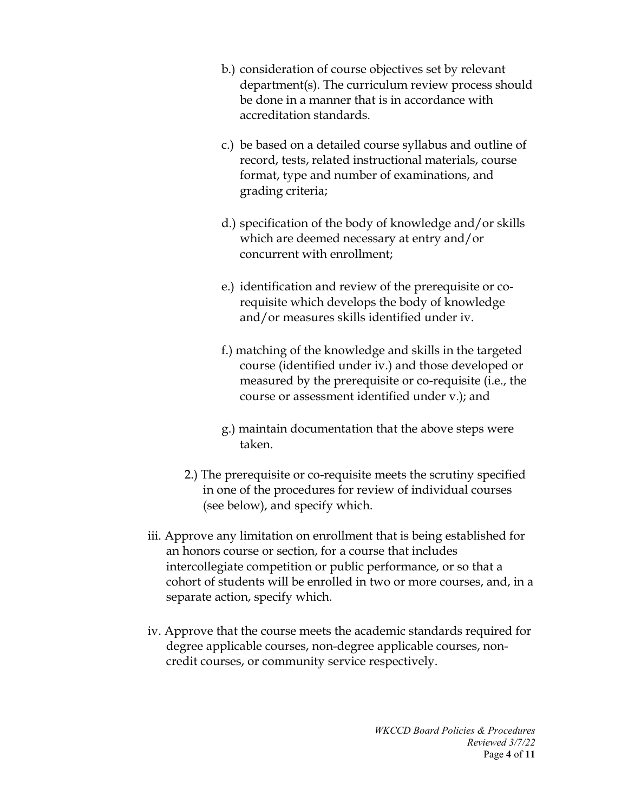- b.) consideration of course objectives set by relevant department(s). The curriculum review process should be done in a manner that is in accordance with accreditation standards.
- c.) be based on a detailed course syllabus and outline of record, tests, related instructional materials, course format, type and number of examinations, and grading criteria;
- d.) specification of the body of knowledge and/or skills which are deemed necessary at entry and/or concurrent with enrollment;
- e.) identification and review of the prerequisite or corequisite which develops the body of knowledge and/or measures skills identified under iv.
- f.) matching of the knowledge and skills in the targeted course (identified under iv.) and those developed or measured by the prerequisite or co-requisite (i.e., the course or assessment identified under v.); and
- g.) maintain documentation that the above steps were taken.
- 2.) The prerequisite or co-requisite meets the scrutiny specified in one of the procedures for review of individual courses (see below), and specify which.
- iii. Approve any limitation on enrollment that is being established for an honors course or section, for a course that includes intercollegiate competition or public performance, or so that a cohort of students will be enrolled in two or more courses, and, in a separate action, specify which.
- iv. Approve that the course meets the academic standards required for degree applicable courses, non-degree applicable courses, noncredit courses, or community service respectively.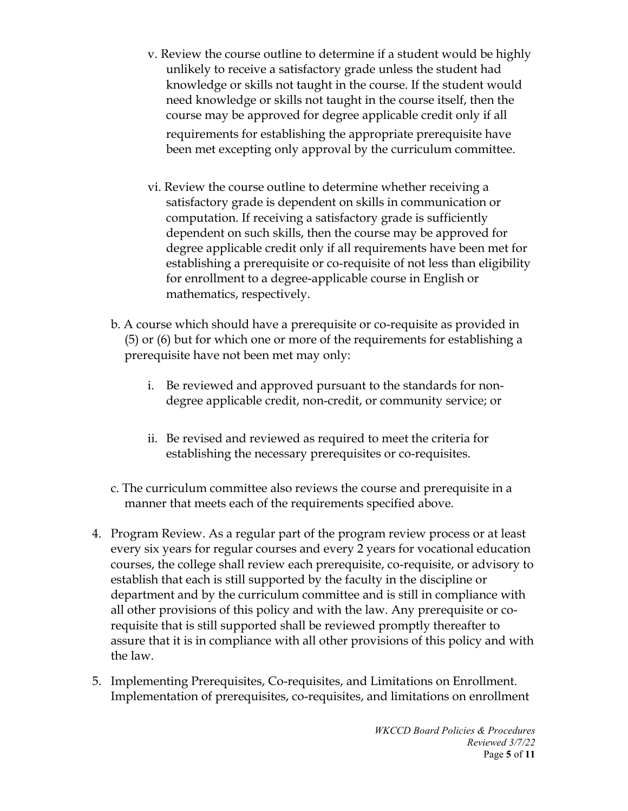- v. Review the course outline to determine if a student would be highly unlikely to receive a satisfactory grade unless the student had knowledge or skills not taught in the course. If the student would need knowledge or skills not taught in the course itself, then the course may be approved for degree applicable credit only if all requirements for establishing the appropriate prerequisite have been met excepting only approval by the curriculum committee.
- vi. Review the course outline to determine whether receiving a satisfactory grade is dependent on skills in communication or computation. If receiving a satisfactory grade is sufficiently dependent on such skills, then the course may be approved for degree applicable credit only if all requirements have been met for establishing a prerequisite or co-requisite of not less than eligibility for enrollment to a degree-applicable course in English or mathematics, respectively.
- b. A course which should have a prerequisite or co-requisite as provided in (5) or (6) but for which one or more of the requirements for establishing a prerequisite have not been met may only:
	- i. Be reviewed and approved pursuant to the standards for nondegree applicable credit, non-credit, or community service; or
	- ii. Be revised and reviewed as required to meet the criteria for establishing the necessary prerequisites or co-requisites.
- c. The curriculum committee also reviews the course and prerequisite in a manner that meets each of the requirements specified above.
- 4. Program Review. As a regular part of the program review process or at least every six years for regular courses and every 2 years for vocational education courses, the college shall review each prerequisite, co-requisite, or advisory to establish that each is still supported by the faculty in the discipline or department and by the curriculum committee and is still in compliance with all other provisions of this policy and with the law. Any prerequisite or corequisite that is still supported shall be reviewed promptly thereafter to assure that it is in compliance with all other provisions of this policy and with the law.
- 5. Implementing Prerequisites, Co-requisites, and Limitations on Enrollment. Implementation of prerequisites, co-requisites, and limitations on enrollment

*WKCCD Board Policies & Procedures Reviewed 3/7/22* Page **5** of **11**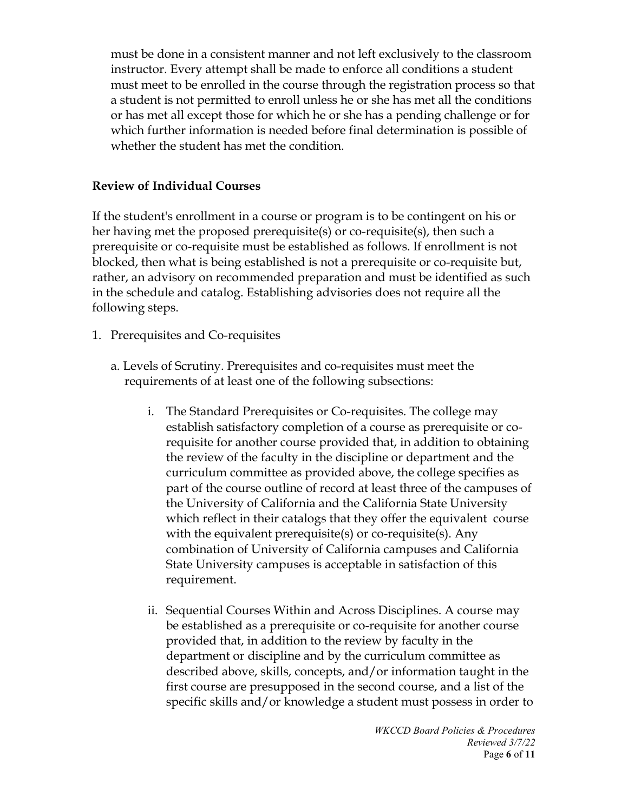must be done in a consistent manner and not left exclusively to the classroom instructor. Every attempt shall be made to enforce all conditions a student must meet to be enrolled in the course through the registration process so that a student is not permitted to enroll unless he or she has met all the conditions or has met all except those for which he or she has a pending challenge or for which further information is needed before final determination is possible of whether the student has met the condition.

### **Review of Individual Courses**

If the student's enrollment in a course or program is to be contingent on his or her having met the proposed prerequisite(s) or co-requisite(s), then such a prerequisite or co-requisite must be established as follows. If enrollment is not blocked, then what is being established is not a prerequisite or co-requisite but, rather, an advisory on recommended preparation and must be identified as such in the schedule and catalog. Establishing advisories does not require all the following steps.

- 1. Prerequisites and Co-requisites
	- a. Levels of Scrutiny. Prerequisites and co-requisites must meet the requirements of at least one of the following subsections:
		- i. The Standard Prerequisites or Co-requisites. The college may establish satisfactory completion of a course as prerequisite or corequisite for another course provided that, in addition to obtaining the review of the faculty in the discipline or department and the curriculum committee as provided above, the college specifies as part of the course outline of record at least three of the campuses of the University of California and the California State University which reflect in their catalogs that they offer the equivalent course with the equivalent prerequisite(s) or co-requisite(s). Any combination of University of California campuses and California State University campuses is acceptable in satisfaction of this requirement.
		- ii. Sequential Courses Within and Across Disciplines. A course may be established as a prerequisite or co-requisite for another course provided that, in addition to the review by faculty in the department or discipline and by the curriculum committee as described above, skills, concepts, and/or information taught in the first course are presupposed in the second course, and a list of the specific skills and/or knowledge a student must possess in order to

*WKCCD Board Policies & Procedures Reviewed 3/7/22* Page **6** of **11**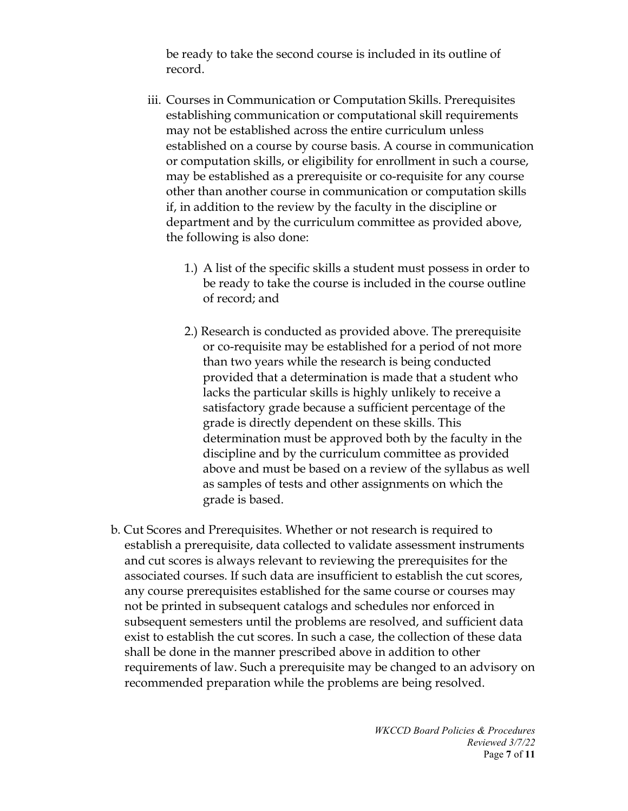be ready to take the second course is included in its outline of record.

- iii. Courses in Communication or Computation Skills. Prerequisites establishing communication or computational skill requirements may not be established across the entire curriculum unless established on a course by course basis. A course in communication or computation skills, or eligibility for enrollment in such a course, may be established as a prerequisite or co-requisite for any course other than another course in communication or computation skills if, in addition to the review by the faculty in the discipline or department and by the curriculum committee as provided above, the following is also done:
	- 1.) A list of the specific skills a student must possess in order to be ready to take the course is included in the course outline of record; and
	- 2.) Research is conducted as provided above. The prerequisite or co-requisite may be established for a period of not more than two years while the research is being conducted provided that a determination is made that a student who lacks the particular skills is highly unlikely to receive a satisfactory grade because a sufficient percentage of the grade is directly dependent on these skills. This determination must be approved both by the faculty in the discipline and by the curriculum committee as provided above and must be based on a review of the syllabus as well as samples of tests and other assignments on which the grade is based.
- b. Cut Scores and Prerequisites. Whether or not research is required to establish a prerequisite, data collected to validate assessment instruments and cut scores is always relevant to reviewing the prerequisites for the associated courses. If such data are insufficient to establish the cut scores, any course prerequisites established for the same course or courses may not be printed in subsequent catalogs and schedules nor enforced in subsequent semesters until the problems are resolved, and sufficient data exist to establish the cut scores. In such a case, the collection of these data shall be done in the manner prescribed above in addition to other requirements of law. Such a prerequisite may be changed to an advisory on recommended preparation while the problems are being resolved.

*WKCCD Board Policies & Procedures Reviewed 3/7/22* Page **7** of **11**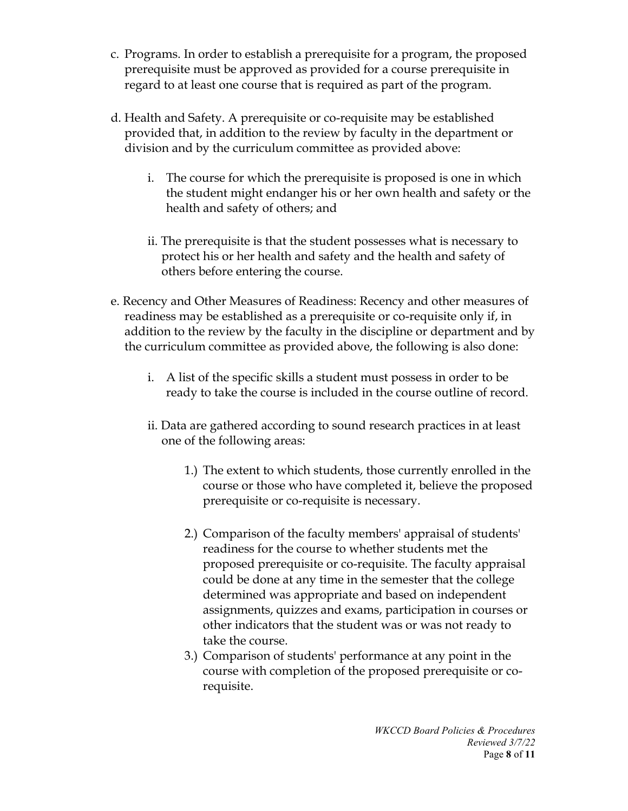- c. Programs. In order to establish a prerequisite for a program, the proposed prerequisite must be approved as provided for a course prerequisite in regard to at least one course that is required as part of the program.
- d. Health and Safety. A prerequisite or co-requisite may be established provided that, in addition to the review by faculty in the department or division and by the curriculum committee as provided above:
	- i. The course for which the prerequisite is proposed is one in which the student might endanger his or her own health and safety or the health and safety of others; and
	- ii. The prerequisite is that the student possesses what is necessary to protect his or her health and safety and the health and safety of others before entering the course.
- e. Recency and Other Measures of Readiness: Recency and other measures of readiness may be established as a prerequisite or co-requisite only if, in addition to the review by the faculty in the discipline or department and by the curriculum committee as provided above, the following is also done:
	- i. A list of the specific skills a student must possess in order to be ready to take the course is included in the course outline of record.
	- ii. Data are gathered according to sound research practices in at least one of the following areas:
		- 1.) The extent to which students, those currently enrolled in the course or those who have completed it, believe the proposed prerequisite or co-requisite is necessary.
		- 2.) Comparison of the faculty members' appraisal of students' readiness for the course to whether students met the proposed prerequisite or co-requisite. The faculty appraisal could be done at any time in the semester that the college determined was appropriate and based on independent assignments, quizzes and exams, participation in courses or other indicators that the student was or was not ready to take the course.
		- 3.) Comparison of students' performance at any point in the course with completion of the proposed prerequisite or corequisite.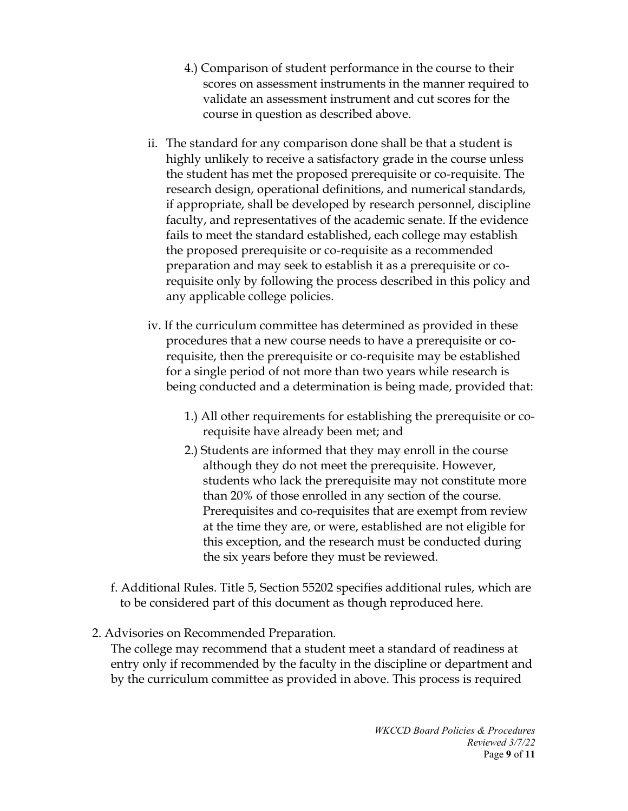- 4.) Comparison of student performance in the course to their scores on assessment instruments in the manner required to validate an assessment instrument and cut scores for the course in question as described above.
- ii. The standard for any comparison done shall be that a student is highly unlikely to receive a satisfactory grade in the course unless the student has met the proposed prerequisite or co-requisite. The research design, operational definitions, and numerical standards, if appropriate, shall be developed by research personnel, discipline faculty, and representatives of the academic senate. If the evidence fails to meet the standard established, each college may establish the proposed prerequisite or co-requisite as a recommended preparation and may seek to establish it as a prerequisite or corequisite only by following the process described in this policy and any applicable college policies.
- iv. If the curriculum committee has determined as provided in these procedures that a new course needs to have a prerequisite or corequisite, then the prerequisite or co-requisite may be established for a single period of not more than two years while research is being conducted and a determination is being made, provided that:
	- 1.) All other requirements for establishing the prerequisite or corequisite have already been met; and
	- 2.) Students are informed that they may enroll in the course although they do not meet the prerequisite. However, students who lack the prerequisite may not constitute more than 20% of those enrolled in any section of the course. Prerequisites and co-requisites that are exempt from review at the time they are, or were, established are not eligible for this exception, and the research must be conducted during the six years before they must be reviewed.
- f. Additional Rules. Title 5, Section 55202 specifies additional rules, which are to be considered part of this document as though reproduced here.
- 2. Advisories on Recommended Preparation.

The college may recommend that a student meet a standard of readiness at entry only if recommended by the faculty in the discipline or department and by the curriculum committee as provided in above. This process is required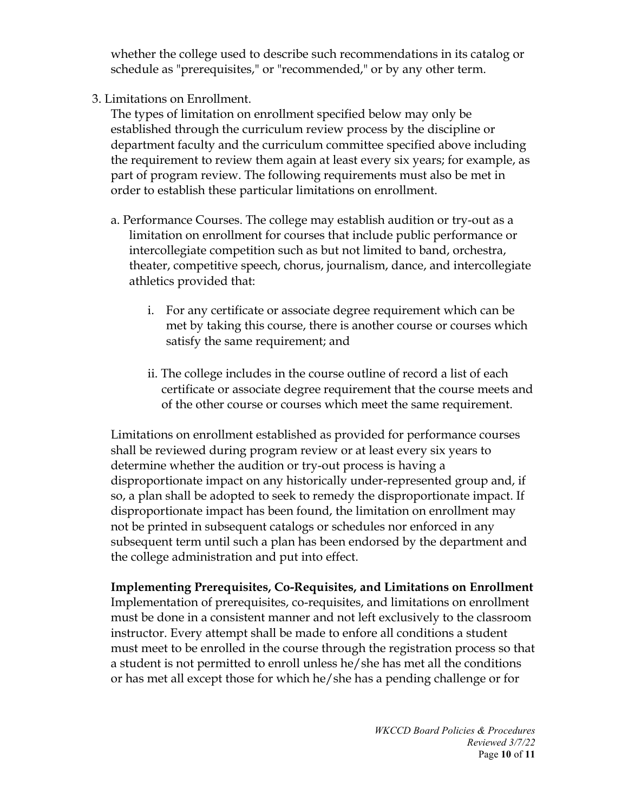whether the college used to describe such recommendations in its catalog or schedule as "prerequisites," or "recommended," or by any other term.

3. Limitations on Enrollment.

The types of limitation on enrollment specified below may only be established through the curriculum review process by the discipline or department faculty and the curriculum committee specified above including the requirement to review them again at least every six years; for example, as part of program review. The following requirements must also be met in order to establish these particular limitations on enrollment.

- a. Performance Courses. The college may establish audition or try-out as a limitation on enrollment for courses that include public performance or intercollegiate competition such as but not limited to band, orchestra, theater, competitive speech, chorus, journalism, dance, and intercollegiate athletics provided that:
	- i. For any certificate or associate degree requirement which can be met by taking this course, there is another course or courses which satisfy the same requirement; and
	- ii. The college includes in the course outline of record a list of each certificate or associate degree requirement that the course meets and of the other course or courses which meet the same requirement.

Limitations on enrollment established as provided for performance courses shall be reviewed during program review or at least every six years to determine whether the audition or try-out process is having a disproportionate impact on any historically under-represented group and, if so, a plan shall be adopted to seek to remedy the disproportionate impact. If disproportionate impact has been found, the limitation on enrollment may not be printed in subsequent catalogs or schedules nor enforced in any subsequent term until such a plan has been endorsed by the department and the college administration and put into effect.

**Implementing Prerequisites, Co-Requisites, and Limitations on Enrollment**  Implementation of prerequisites, co-requisites, and limitations on enrollment must be done in a consistent manner and not left exclusively to the classroom instructor. Every attempt shall be made to enfore all conditions a student must meet to be enrolled in the course through the registration process so that a student is not permitted to enroll unless he/she has met all the conditions or has met all except those for which he/she has a pending challenge or for